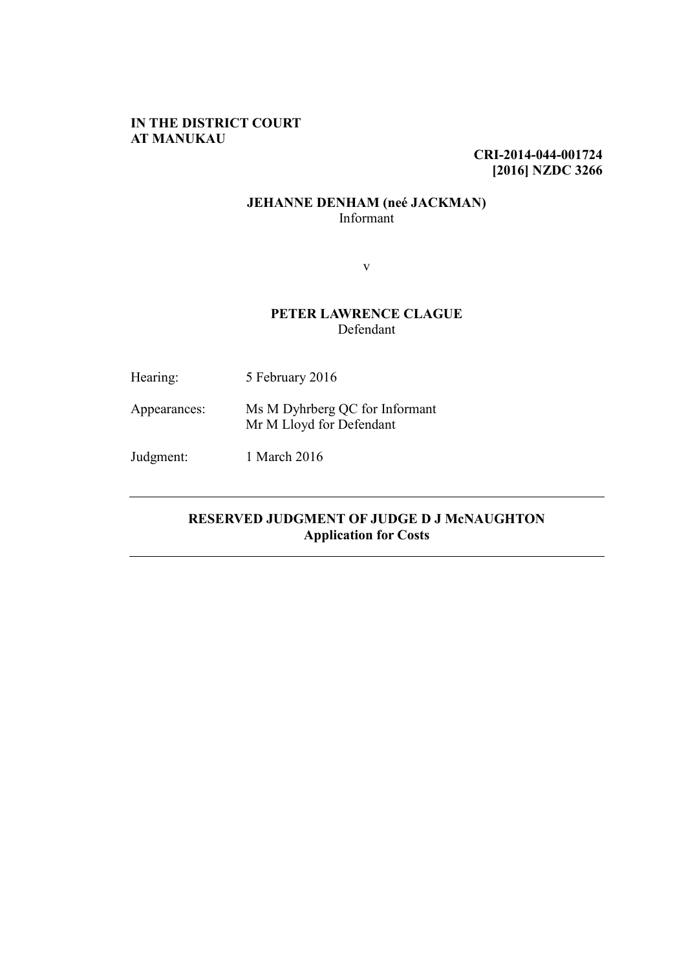## **IN THE DISTRICT COURT AT MANUKAU**

**CRI-2014-044-001724 [2016] NZDC 3266**

## **JEHANNE DENHAM (neé JACKMAN)** Informant

v

# **PETER LAWRENCE CLAGUE** Defendant

| Hearing:     | 5 February 2016                                            |
|--------------|------------------------------------------------------------|
| Appearances: | Ms M Dyhrberg QC for Informant<br>Mr M Lloyd for Defendant |
| Judgment:    | 1 March 2016                                               |

# **RESERVED JUDGMENT OF JUDGE D J McNAUGHTON Application for Costs**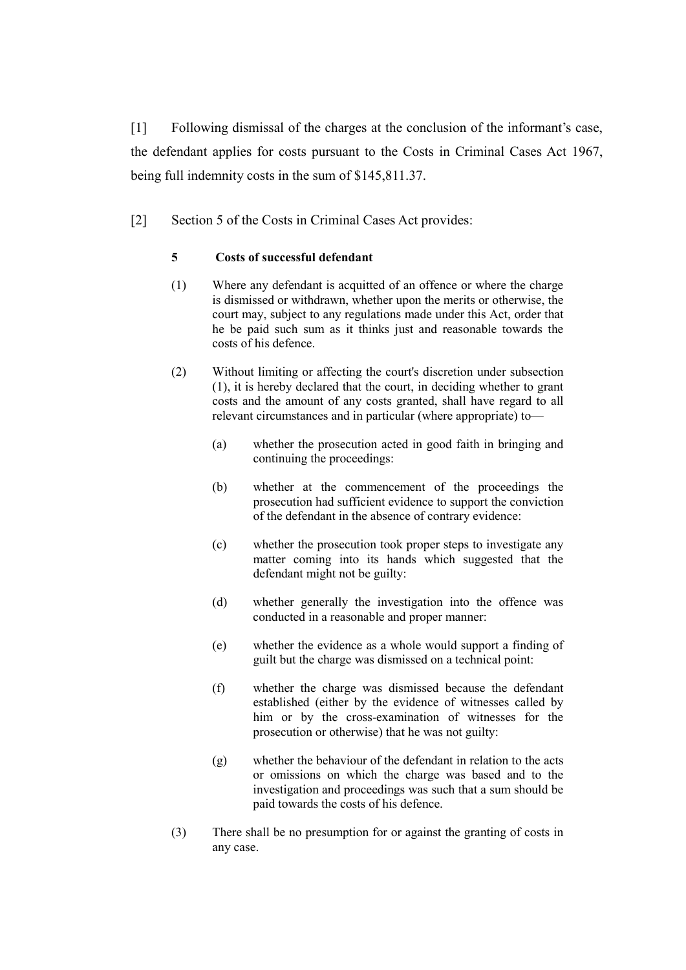[1] Following dismissal of the charges at the conclusion of the informant's case, the defendant applies for costs pursuant to the Costs in Criminal Cases Act 1967, being full indemnity costs in the sum of \$145,811.37.

[2] Section 5 of the Costs in Criminal Cases Act provides:

### **5 Costs of successful defendant**

- (1) Where any defendant is acquitted of an offence or where the charge is dismissed or withdrawn, whether upon the merits or otherwise, the court may, subject to any regulations made under this Act, order that he be paid such sum as it thinks just and reasonable towards the costs of his defence.
- (2) Without limiting or affecting the court's discretion under subsection (1), it is hereby declared that the court, in deciding whether to grant costs and the amount of any costs granted, shall have regard to all relevant circumstances and in particular (where appropriate) to—
	- (a) whether the prosecution acted in good faith in bringing and continuing the proceedings:
	- (b) whether at the commencement of the proceedings the prosecution had sufficient evidence to support the conviction of the defendant in the absence of contrary evidence:
	- (c) whether the prosecution took proper steps to investigate any matter coming into its hands which suggested that the defendant might not be guilty:
	- (d) whether generally the investigation into the offence was conducted in a reasonable and proper manner:
	- (e) whether the evidence as a whole would support a finding of guilt but the charge was dismissed on a technical point:
	- (f) whether the charge was dismissed because the defendant established (either by the evidence of witnesses called by him or by the cross-examination of witnesses for the prosecution or otherwise) that he was not guilty:
	- (g) whether the behaviour of the defendant in relation to the acts or omissions on which the charge was based and to the investigation and proceedings was such that a sum should be paid towards the costs of his defence.
- (3) There shall be no presumption for or against the granting of costs in any case.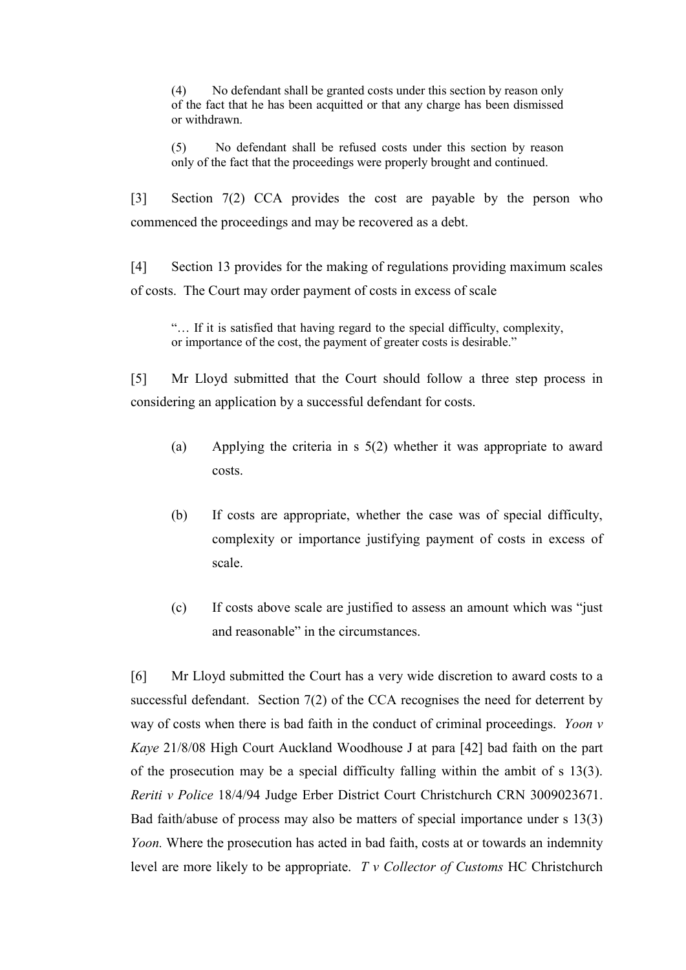(4) No defendant shall be granted costs under this section by reason only of the fact that he has been acquitted or that any charge has been dismissed or withdrawn.

(5) No defendant shall be refused costs under this section by reason only of the fact that the proceedings were properly brought and continued.

[3] Section 7(2) CCA provides the cost are payable by the person who commenced the proceedings and may be recovered as a debt.

[4] Section 13 provides for the making of regulations providing maximum scales of costs. The Court may order payment of costs in excess of scale

"… If it is satisfied that having regard to the special difficulty, complexity, or importance of the cost, the payment of greater costs is desirable."

[5] Mr Lloyd submitted that the Court should follow a three step process in considering an application by a successful defendant for costs.

- (a) Applying the criteria in s 5(2) whether it was appropriate to award costs.
- (b) If costs are appropriate, whether the case was of special difficulty, complexity or importance justifying payment of costs in excess of scale.
- (c) If costs above scale are justified to assess an amount which was "just and reasonable" in the circumstances.

[6] Mr Lloyd submitted the Court has a very wide discretion to award costs to a successful defendant. Section 7(2) of the CCA recognises the need for deterrent by way of costs when there is bad faith in the conduct of criminal proceedings. *Yoon v Kaye* 21/8/08 High Court Auckland Woodhouse J at para [42] bad faith on the part of the prosecution may be a special difficulty falling within the ambit of s 13(3). *Reriti v Police* 18/4/94 Judge Erber District Court Christchurch CRN 3009023671. Bad faith/abuse of process may also be matters of special importance under s 13(3) *Yoon.* Where the prosecution has acted in bad faith, costs at or towards an indemnity level are more likely to be appropriate. *T v Collector of Customs* HC Christchurch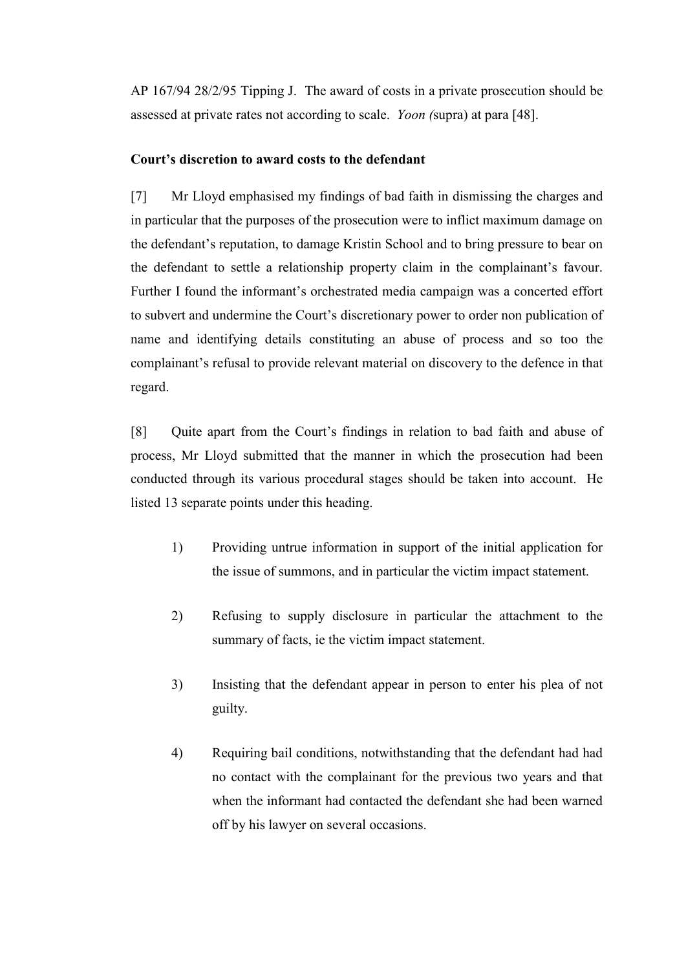AP 167/94 28/2/95 Tipping J. The award of costs in a private prosecution should be assessed at private rates not according to scale. *Yoon (*supra) at para [48].

## **Court's discretion to award costs to the defendant**

[7] Mr Lloyd emphasised my findings of bad faith in dismissing the charges and in particular that the purposes of the prosecution were to inflict maximum damage on the defendant's reputation, to damage Kristin School and to bring pressure to bear on the defendant to settle a relationship property claim in the complainant's favour. Further I found the informant's orchestrated media campaign was a concerted effort to subvert and undermine the Court's discretionary power to order non publication of name and identifying details constituting an abuse of process and so too the complainant's refusal to provide relevant material on discovery to the defence in that regard.

[8] Quite apart from the Court's findings in relation to bad faith and abuse of process, Mr Lloyd submitted that the manner in which the prosecution had been conducted through its various procedural stages should be taken into account. He listed 13 separate points under this heading.

- 1) Providing untrue information in support of the initial application for the issue of summons, and in particular the victim impact statement.
- 2) Refusing to supply disclosure in particular the attachment to the summary of facts, ie the victim impact statement.
- 3) Insisting that the defendant appear in person to enter his plea of not guilty.
- 4) Requiring bail conditions, notwithstanding that the defendant had had no contact with the complainant for the previous two years and that when the informant had contacted the defendant she had been warned off by his lawyer on several occasions.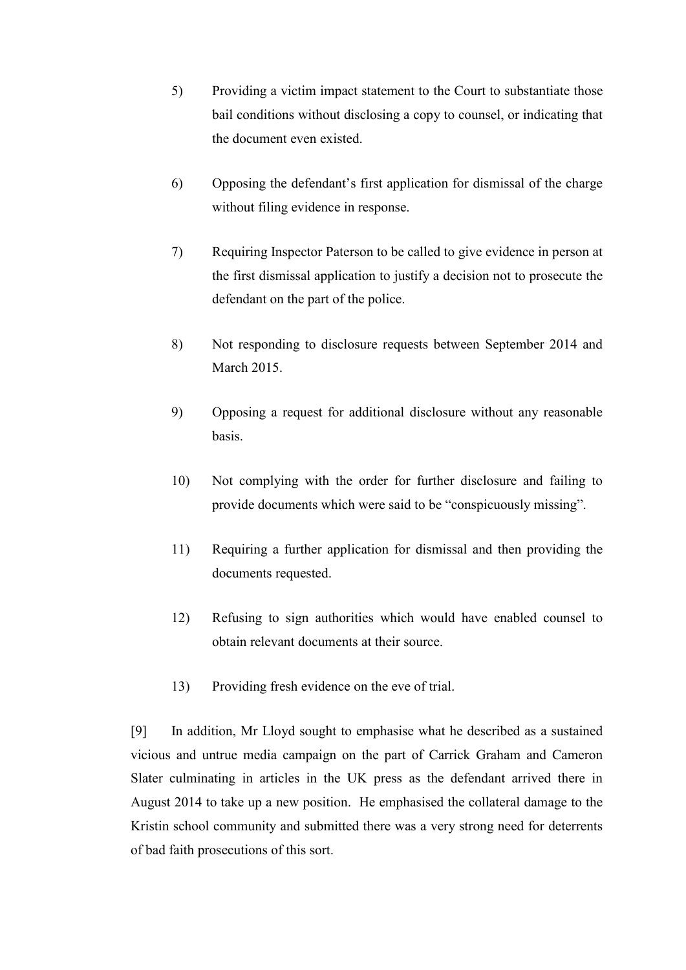- 5) Providing a victim impact statement to the Court to substantiate those bail conditions without disclosing a copy to counsel, or indicating that the document even existed.
- 6) Opposing the defendant's first application for dismissal of the charge without filing evidence in response.
- 7) Requiring Inspector Paterson to be called to give evidence in person at the first dismissal application to justify a decision not to prosecute the defendant on the part of the police.
- 8) Not responding to disclosure requests between September 2014 and March 2015.
- 9) Opposing a request for additional disclosure without any reasonable basis.
- 10) Not complying with the order for further disclosure and failing to provide documents which were said to be "conspicuously missing".
- 11) Requiring a further application for dismissal and then providing the documents requested.
- 12) Refusing to sign authorities which would have enabled counsel to obtain relevant documents at their source.
- 13) Providing fresh evidence on the eve of trial.

[9] In addition, Mr Lloyd sought to emphasise what he described as a sustained vicious and untrue media campaign on the part of Carrick Graham and Cameron Slater culminating in articles in the UK press as the defendant arrived there in August 2014 to take up a new position. He emphasised the collateral damage to the Kristin school community and submitted there was a very strong need for deterrents of bad faith prosecutions of this sort.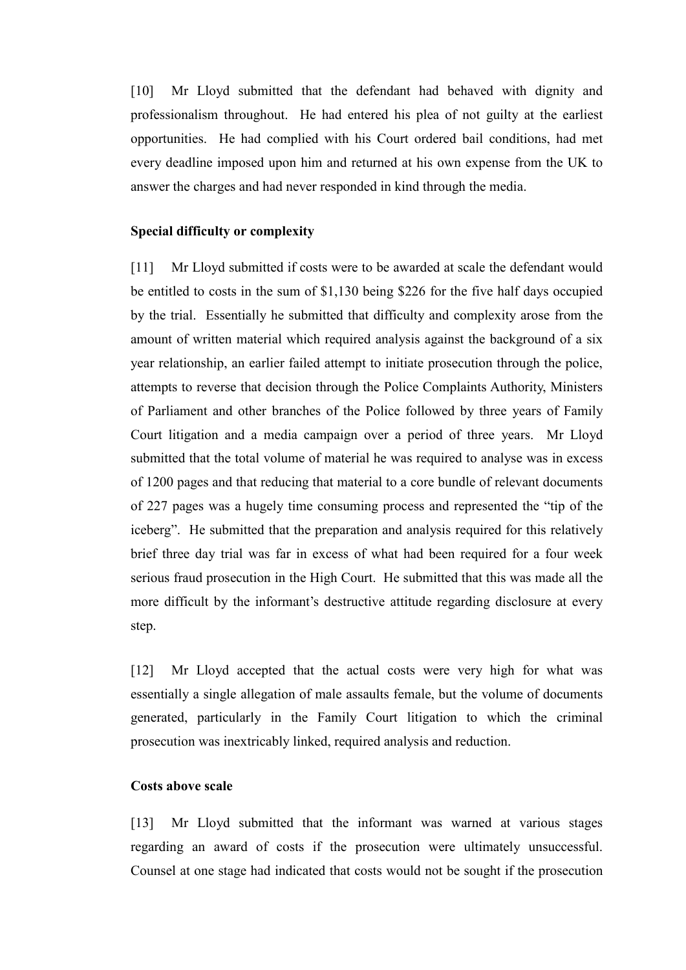[10] Mr Lloyd submitted that the defendant had behaved with dignity and professionalism throughout. He had entered his plea of not guilty at the earliest opportunities. He had complied with his Court ordered bail conditions, had met every deadline imposed upon him and returned at his own expense from the UK to answer the charges and had never responded in kind through the media.

#### **Special difficulty or complexity**

[11] Mr Lloyd submitted if costs were to be awarded at scale the defendant would be entitled to costs in the sum of \$1,130 being \$226 for the five half days occupied by the trial. Essentially he submitted that difficulty and complexity arose from the amount of written material which required analysis against the background of a six year relationship, an earlier failed attempt to initiate prosecution through the police, attempts to reverse that decision through the Police Complaints Authority, Ministers of Parliament and other branches of the Police followed by three years of Family Court litigation and a media campaign over a period of three years. Mr Lloyd submitted that the total volume of material he was required to analyse was in excess of 1200 pages and that reducing that material to a core bundle of relevant documents of 227 pages was a hugely time consuming process and represented the "tip of the iceberg". He submitted that the preparation and analysis required for this relatively brief three day trial was far in excess of what had been required for a four week serious fraud prosecution in the High Court. He submitted that this was made all the more difficult by the informant's destructive attitude regarding disclosure at every step.

[12] Mr Lloyd accepted that the actual costs were very high for what was essentially a single allegation of male assaults female, but the volume of documents generated, particularly in the Family Court litigation to which the criminal prosecution was inextricably linked, required analysis and reduction.

#### **Costs above scale**

[13] Mr Lloyd submitted that the informant was warned at various stages regarding an award of costs if the prosecution were ultimately unsuccessful. Counsel at one stage had indicated that costs would not be sought if the prosecution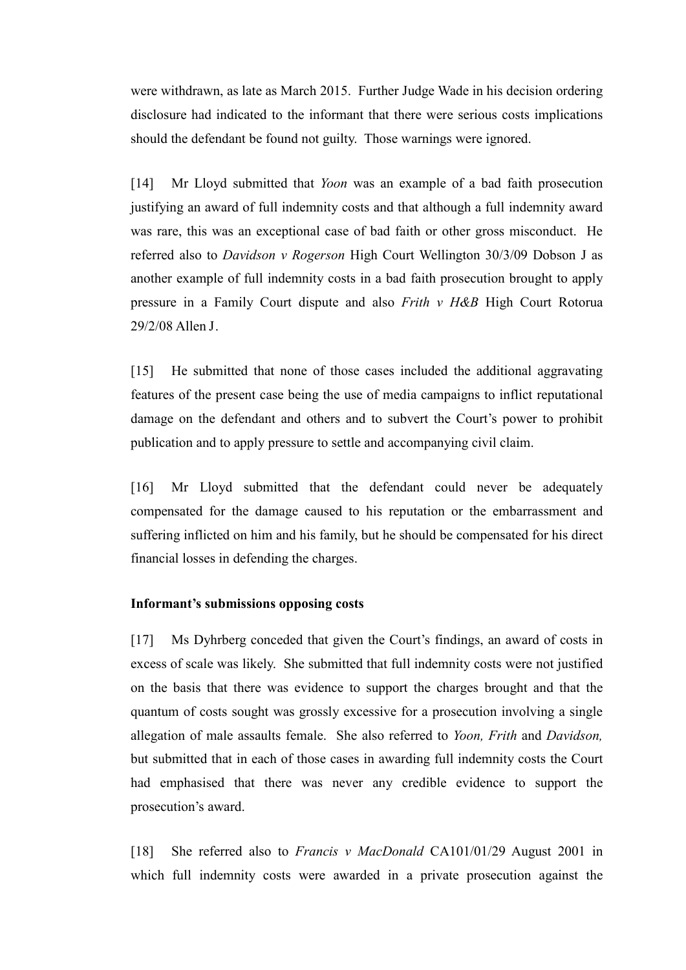were withdrawn, as late as March 2015. Further Judge Wade in his decision ordering disclosure had indicated to the informant that there were serious costs implications should the defendant be found not guilty. Those warnings were ignored.

[14] Mr Lloyd submitted that *Yoon* was an example of a bad faith prosecution justifying an award of full indemnity costs and that although a full indemnity award was rare, this was an exceptional case of bad faith or other gross misconduct. He referred also to *Davidson v Rogerson* High Court Wellington 30/3/09 Dobson J as another example of full indemnity costs in a bad faith prosecution brought to apply pressure in a Family Court dispute and also *Frith v H&B* High Court Rotorua 29/2/08 Allen J.

[15] He submitted that none of those cases included the additional aggravating features of the present case being the use of media campaigns to inflict reputational damage on the defendant and others and to subvert the Court's power to prohibit publication and to apply pressure to settle and accompanying civil claim.

[16] Mr Lloyd submitted that the defendant could never be adequately compensated for the damage caused to his reputation or the embarrassment and suffering inflicted on him and his family, but he should be compensated for his direct financial losses in defending the charges.

### **Informant's submissions opposing costs**

[17] Ms Dyhrberg conceded that given the Court's findings, an award of costs in excess of scale was likely. She submitted that full indemnity costs were not justified on the basis that there was evidence to support the charges brought and that the quantum of costs sought was grossly excessive for a prosecution involving a single allegation of male assaults female. She also referred to *Yoon, Frith* and *Davidson,*  but submitted that in each of those cases in awarding full indemnity costs the Court had emphasised that there was never any credible evidence to support the prosecution's award.

[18] She referred also to *Francis v MacDonald* CA101/01/29 August 2001 in which full indemnity costs were awarded in a private prosecution against the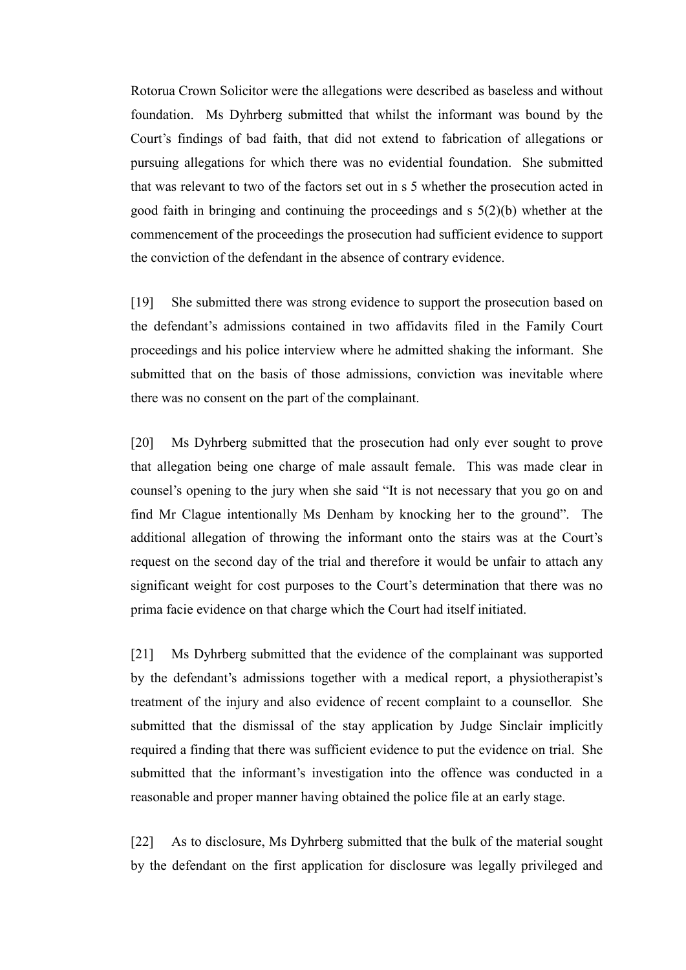Rotorua Crown Solicitor were the allegations were described as baseless and without foundation. Ms Dyhrberg submitted that whilst the informant was bound by the Court's findings of bad faith, that did not extend to fabrication of allegations or pursuing allegations for which there was no evidential foundation. She submitted that was relevant to two of the factors set out in s 5 whether the prosecution acted in good faith in bringing and continuing the proceedings and  $s \frac{5(2)}{b}$  whether at the commencement of the proceedings the prosecution had sufficient evidence to support the conviction of the defendant in the absence of contrary evidence.

[19] She submitted there was strong evidence to support the prosecution based on the defendant's admissions contained in two affidavits filed in the Family Court proceedings and his police interview where he admitted shaking the informant. She submitted that on the basis of those admissions, conviction was inevitable where there was no consent on the part of the complainant.

[20] Ms Dyhrberg submitted that the prosecution had only ever sought to prove that allegation being one charge of male assault female. This was made clear in counsel's opening to the jury when she said "It is not necessary that you go on and find Mr Clague intentionally Ms Denham by knocking her to the ground". The additional allegation of throwing the informant onto the stairs was at the Court's request on the second day of the trial and therefore it would be unfair to attach any significant weight for cost purposes to the Court's determination that there was no prima facie evidence on that charge which the Court had itself initiated.

[21] Ms Dyhrberg submitted that the evidence of the complainant was supported by the defendant's admissions together with a medical report, a physiotherapist's treatment of the injury and also evidence of recent complaint to a counsellor. She submitted that the dismissal of the stay application by Judge Sinclair implicitly required a finding that there was sufficient evidence to put the evidence on trial. She submitted that the informant's investigation into the offence was conducted in a reasonable and proper manner having obtained the police file at an early stage.

[22] As to disclosure, Ms Dyhrberg submitted that the bulk of the material sought by the defendant on the first application for disclosure was legally privileged and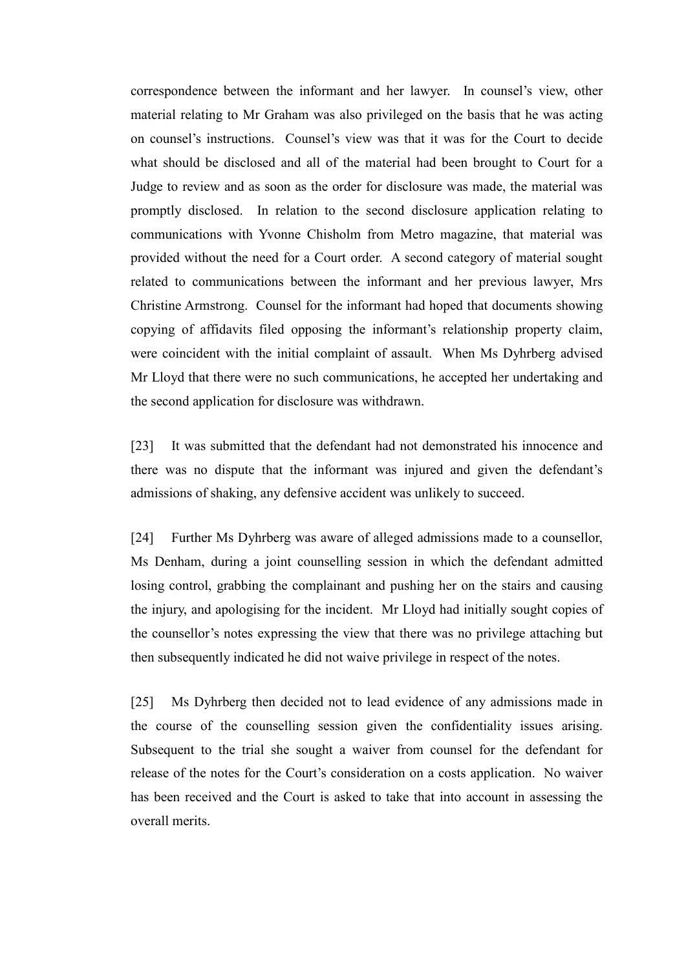correspondence between the informant and her lawyer. In counsel's view, other material relating to Mr Graham was also privileged on the basis that he was acting on counsel's instructions. Counsel's view was that it was for the Court to decide what should be disclosed and all of the material had been brought to Court for a Judge to review and as soon as the order for disclosure was made, the material was promptly disclosed. In relation to the second disclosure application relating to communications with Yvonne Chisholm from Metro magazine, that material was provided without the need for a Court order. A second category of material sought related to communications between the informant and her previous lawyer, Mrs Christine Armstrong. Counsel for the informant had hoped that documents showing copying of affidavits filed opposing the informant's relationship property claim, were coincident with the initial complaint of assault. When Ms Dyhrberg advised Mr Lloyd that there were no such communications, he accepted her undertaking and the second application for disclosure was withdrawn.

[23] It was submitted that the defendant had not demonstrated his innocence and there was no dispute that the informant was injured and given the defendant's admissions of shaking, any defensive accident was unlikely to succeed.

[24] Further Ms Dyhrberg was aware of alleged admissions made to a counsellor, Ms Denham, during a joint counselling session in which the defendant admitted losing control, grabbing the complainant and pushing her on the stairs and causing the injury, and apologising for the incident. Mr Lloyd had initially sought copies of the counsellor's notes expressing the view that there was no privilege attaching but then subsequently indicated he did not waive privilege in respect of the notes.

[25] Ms Dyhrberg then decided not to lead evidence of any admissions made in the course of the counselling session given the confidentiality issues arising. Subsequent to the trial she sought a waiver from counsel for the defendant for release of the notes for the Court's consideration on a costs application. No waiver has been received and the Court is asked to take that into account in assessing the overall merits.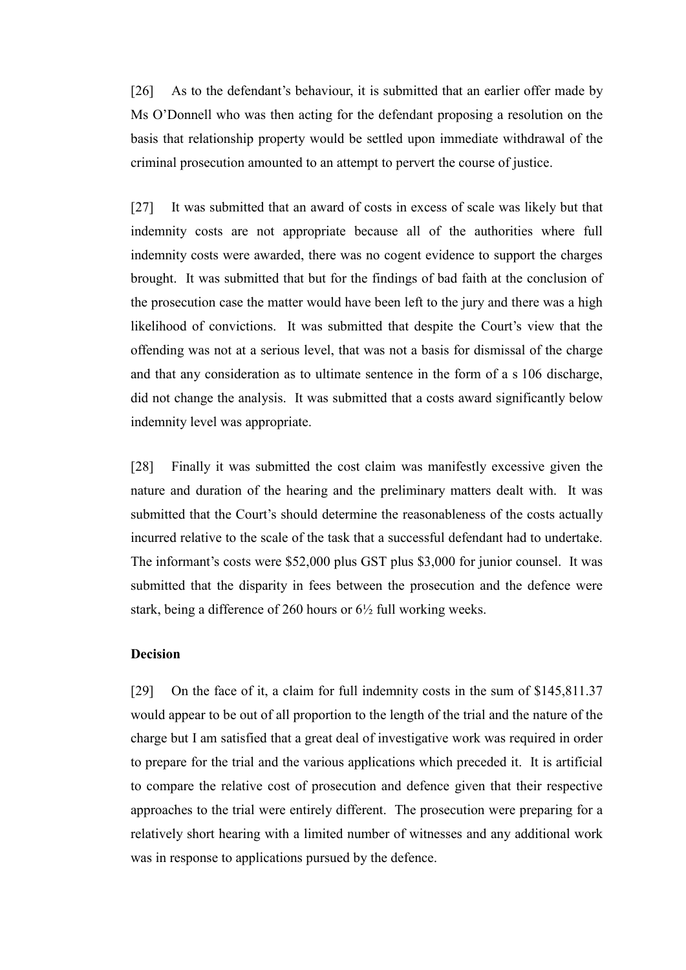[26] As to the defendant's behaviour, it is submitted that an earlier offer made by Ms O'Donnell who was then acting for the defendant proposing a resolution on the basis that relationship property would be settled upon immediate withdrawal of the criminal prosecution amounted to an attempt to pervert the course of justice.

[27] It was submitted that an award of costs in excess of scale was likely but that indemnity costs are not appropriate because all of the authorities where full indemnity costs were awarded, there was no cogent evidence to support the charges brought. It was submitted that but for the findings of bad faith at the conclusion of the prosecution case the matter would have been left to the jury and there was a high likelihood of convictions. It was submitted that despite the Court's view that the offending was not at a serious level, that was not a basis for dismissal of the charge and that any consideration as to ultimate sentence in the form of a s 106 discharge, did not change the analysis. It was submitted that a costs award significantly below indemnity level was appropriate.

[28] Finally it was submitted the cost claim was manifestly excessive given the nature and duration of the hearing and the preliminary matters dealt with. It was submitted that the Court's should determine the reasonableness of the costs actually incurred relative to the scale of the task that a successful defendant had to undertake. The informant's costs were \$52,000 plus GST plus \$3,000 for junior counsel. It was submitted that the disparity in fees between the prosecution and the defence were stark, being a difference of 260 hours or 6½ full working weeks.

## **Decision**

[29] On the face of it, a claim for full indemnity costs in the sum of \$145,811.37 would appear to be out of all proportion to the length of the trial and the nature of the charge but I am satisfied that a great deal of investigative work was required in order to prepare for the trial and the various applications which preceded it. It is artificial to compare the relative cost of prosecution and defence given that their respective approaches to the trial were entirely different. The prosecution were preparing for a relatively short hearing with a limited number of witnesses and any additional work was in response to applications pursued by the defence.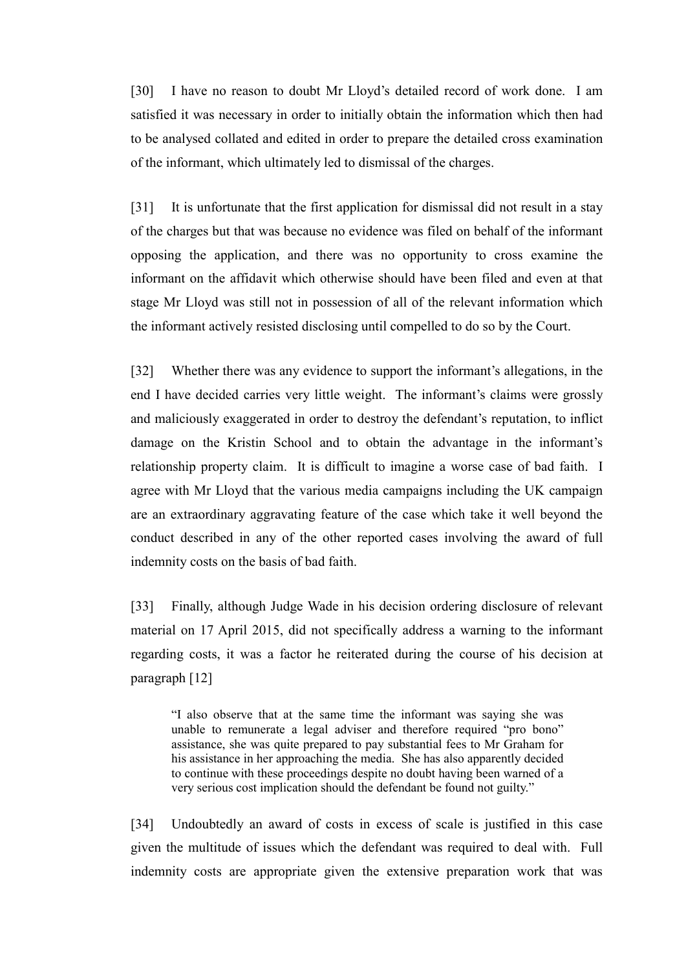[30] I have no reason to doubt Mr Lloyd's detailed record of work done. I am satisfied it was necessary in order to initially obtain the information which then had to be analysed collated and edited in order to prepare the detailed cross examination of the informant, which ultimately led to dismissal of the charges.

[31] It is unfortunate that the first application for dismissal did not result in a stay of the charges but that was because no evidence was filed on behalf of the informant opposing the application, and there was no opportunity to cross examine the informant on the affidavit which otherwise should have been filed and even at that stage Mr Lloyd was still not in possession of all of the relevant information which the informant actively resisted disclosing until compelled to do so by the Court.

[32] Whether there was any evidence to support the informant's allegations, in the end I have decided carries very little weight. The informant's claims were grossly and maliciously exaggerated in order to destroy the defendant's reputation, to inflict damage on the Kristin School and to obtain the advantage in the informant's relationship property claim. It is difficult to imagine a worse case of bad faith. I agree with Mr Lloyd that the various media campaigns including the UK campaign are an extraordinary aggravating feature of the case which take it well beyond the conduct described in any of the other reported cases involving the award of full indemnity costs on the basis of bad faith.

[33] Finally, although Judge Wade in his decision ordering disclosure of relevant material on 17 April 2015, did not specifically address a warning to the informant regarding costs, it was a factor he reiterated during the course of his decision at paragraph [12]

"I also observe that at the same time the informant was saying she was unable to remunerate a legal adviser and therefore required "pro bono" assistance, she was quite prepared to pay substantial fees to Mr Graham for his assistance in her approaching the media. She has also apparently decided to continue with these proceedings despite no doubt having been warned of a very serious cost implication should the defendant be found not guilty."

[34] Undoubtedly an award of costs in excess of scale is justified in this case given the multitude of issues which the defendant was required to deal with. Full indemnity costs are appropriate given the extensive preparation work that was